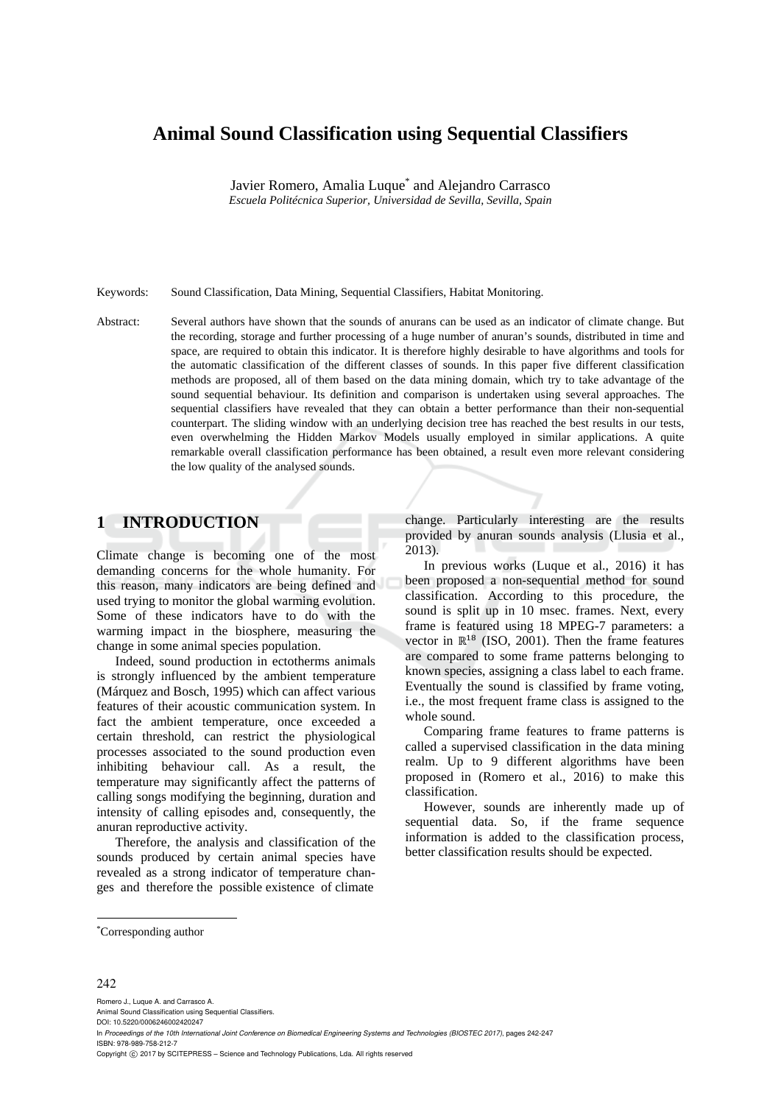# **Animal Sound Classification using Sequential Classifiers**

Javier Romero, Amalia Luque<sup>\*</sup> and Alejandro Carrasco *Escuela Politécnica Superior, Universidad de Sevilla, Sevilla, Spain* 

Keywords: Sound Classification, Data Mining, Sequential Classifiers, Habitat Monitoring.

Abstract: Several authors have shown that the sounds of anurans can be used as an indicator of climate change. But the recording, storage and further processing of a huge number of anuran's sounds, distributed in time and space, are required to obtain this indicator. It is therefore highly desirable to have algorithms and tools for the automatic classification of the different classes of sounds. In this paper five different classification methods are proposed, all of them based on the data mining domain, which try to take advantage of the sound sequential behaviour. Its definition and comparison is undertaken using several approaches. The sequential classifiers have revealed that they can obtain a better performance than their non-sequential counterpart. The sliding window with an underlying decision tree has reached the best results in our tests, even overwhelming the Hidden Markov Models usually employed in similar applications. A quite remarkable overall classification performance has been obtained, a result even more relevant considering the low quality of the analysed sounds.

# **1 INTRODUCTION**

Climate change is becoming one of the most demanding concerns for the whole humanity. For this reason, many indicators are being defined and used trying to monitor the global warming evolution. Some of these indicators have to do with the warming impact in the biosphere, measuring the change in some animal species population.

Indeed, sound production in ectotherms animals is strongly influenced by the ambient temperature (Márquez and Bosch, 1995) which can affect various features of their acoustic communication system. In fact the ambient temperature, once exceeded a certain threshold, can restrict the physiological processes associated to the sound production even inhibiting behaviour call. As a result, the temperature may significantly affect the patterns of calling songs modifying the beginning, duration and intensity of calling episodes and, consequently, the anuran reproductive activity.

Therefore, the analysis and classification of the sounds produced by certain animal species have revealed as a strong indicator of temperature changes and therefore the possible existence of climate

change. Particularly interesting are the results provided by anuran sounds analysis (Llusia et al., 2013).

In previous works (Luque et al., 2016) it has been proposed a non-sequential method for sound classification. According to this procedure, the sound is split up in 10 msec. frames. Next, every frame is featured using 18 MPEG-7 parameters: a vector in  $\mathbb{R}^{18}$  (ISO, 2001). Then the frame features are compared to some frame patterns belonging to known species, assigning a class label to each frame. Eventually the sound is classified by frame voting, i.e., the most frequent frame class is assigned to the whole sound.

Comparing frame features to frame patterns is called a supervised classification in the data mining realm. Up to 9 different algorithms have been proposed in (Romero et al., 2016) to make this classification.

However, sounds are inherently made up of sequential data. So, if the frame sequence information is added to the classification process, better classification results should be expected.

#### 242

Romero J., Luque A. and Carrasco A. Animal Sound Classification using Sequential Classifiers. DOI: 10.5220/0006246002420247 In *Proceedings of the 10th International Joint Conference on Biomedical Engineering Systems and Technologies (BIOSTEC 2017)*, pages 242-247 ISBN: 978-989-758-212-7 Copyright (C) 2017 by SCITEPRESS - Science and Technology Publications, Lda. All rights reserved

<sup>\*</sup>Corresponding author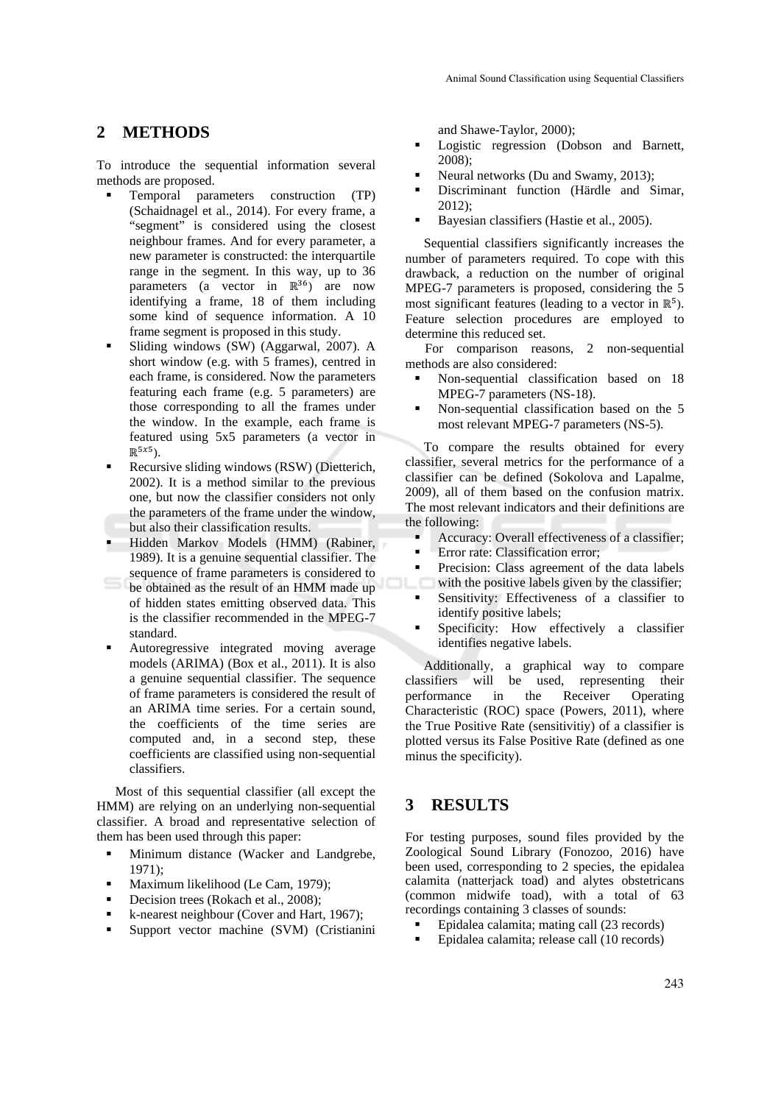# **2 METHODS**

To introduce the sequential information several methods are proposed.

- Temporal parameters construction (TP) (Schaidnagel et al., 2014). For every frame, a "segment" is considered using the closest neighbour frames. And for every parameter, a new parameter is constructed: the interquartile range in the segment. In this way, up to 36 parameters (a vector in  $\mathbb{R}^{36}$ ) are now identifying a frame, 18 of them including some kind of sequence information. A 10 frame segment is proposed in this study.
- Sliding windows (SW) (Aggarwal, 2007). A short window (e.g. with 5 frames), centred in each frame, is considered. Now the parameters featuring each frame (e.g. 5 parameters) are those corresponding to all the frames under the window. In the example, each frame is featured using 5x5 parameters (a vector in  $\mathbb{R}^{5x5}$ ).
- Recursive sliding windows (RSW) (Dietterich, 2002). It is a method similar to the previous one, but now the classifier considers not only the parameters of the frame under the window, but also their classification results.
- Hidden Markov Models (HMM) (Rabiner, 1989). It is a genuine sequential classifier. The
- sequence of frame parameters is considered to be obtained as the result of an HMM made up of hidden states emitting observed data. This is the classifier recommended in the MPEG-7 standard.
- Autoregressive integrated moving average models (ARIMA) (Box et al., 2011). It is also a genuine sequential classifier. The sequence of frame parameters is considered the result of an ARIMA time series. For a certain sound, the coefficients of the time series are computed and, in a second step, these coefficients are classified using non-sequential classifiers.

Most of this sequential classifier (all except the HMM) are relying on an underlying non-sequential classifier. A broad and representative selection of them has been used through this paper:

- Minimum distance (Wacker and Landgrebe, 1971);
- Maximum likelihood (Le Cam, 1979);
- Decision trees (Rokach et al., 2008);
- k-nearest neighbour (Cover and Hart, 1967);
- Support vector machine (SVM) (Cristianini

and Shawe-Taylor, 2000);

- Logistic regression (Dobson and Barnett, 2008);
- Neural networks (Du and Swamy, 2013);
- Discriminant function (Härdle and Simar, 2012);
- Bayesian classifiers (Hastie et al., 2005).

Sequential classifiers significantly increases the number of parameters required. To cope with this drawback, a reduction on the number of original MPEG-7 parameters is proposed, considering the 5 most significant features (leading to a vector in  $\mathbb{R}^5$ ). Feature selection procedures are employed to determine this reduced set.

For comparison reasons, 2 non-sequential methods are also considered:

- Non-sequential classification based on 18 MPEG-7 parameters (NS-18).
- Non-sequential classification based on the 5 most relevant MPEG-7 parameters (NS-5).

To compare the results obtained for every classifier, several metrics for the performance of a classifier can be defined (Sokolova and Lapalme, 2009), all of them based on the confusion matrix. The most relevant indicators and their definitions are the following:

- Accuracy: Overall effectiveness of a classifier;
- Error rate: Classification error;
- Precision: Class agreement of the data labels with the positive labels given by the classifier;
- Sensitivity: Effectiveness of a classifier to identify positive labels;
- Specificity: How effectively a classifier identifies negative labels.

Additionally, a graphical way to compare classifiers will be used, representing their performance in the Receiver Operating Characteristic (ROC) space (Powers, 2011), where the True Positive Rate (sensitivitiy) of a classifier is plotted versus its False Positive Rate (defined as one minus the specificity).

### **3 RESULTS**

For testing purposes, sound files provided by the Zoological Sound Library (Fonozoo, 2016) have been used, corresponding to 2 species, the epidalea calamita (natterjack toad) and alytes obstetricans (common midwife toad), with a total of 63 recordings containing 3 classes of sounds:

- Epidalea calamita; mating call (23 records)
- Epidalea calamita; release call (10 records)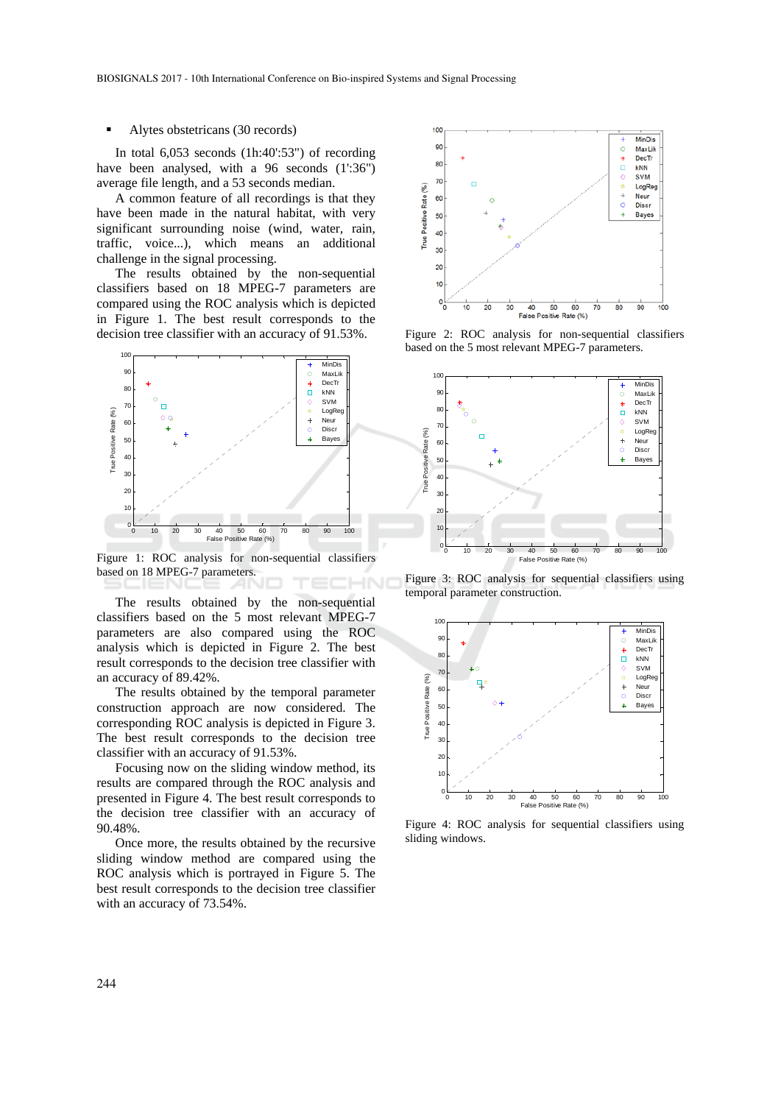#### Alytes obstetricans (30 records)

In total 6,053 seconds (1h:40':53") of recording have been analysed, with a 96 seconds (1':36") average file length, and a 53 seconds median.

A common feature of all recordings is that they have been made in the natural habitat, with very significant surrounding noise (wind, water, rain, traffic, voice...), which means an additional challenge in the signal processing.

The results obtained by the non-sequential classifiers based on 18 MPEG-7 parameters are compared using the ROC analysis which is depicted in Figure 1. The best result corresponds to the decision tree classifier with an accuracy of 91.53%.



Figure 1: ROC analysis for non-sequential classifiers based on 18 MPEG-7 parameters.

The results obtained by the non-sequential classifiers based on the 5 most relevant MPEG-7 parameters are also compared using the ROC analysis which is depicted in Figure 2. The best result corresponds to the decision tree classifier with an accuracy of 89.42%.

The results obtained by the temporal parameter construction approach are now considered. The corresponding ROC analysis is depicted in Figure 3. The best result corresponds to the decision tree classifier with an accuracy of 91.53%.

Focusing now on the sliding window method, its results are compared through the ROC analysis and presented in Figure 4. The best result corresponds to the decision tree classifier with an accuracy of 90.48%.

Once more, the results obtained by the recursive sliding window method are compared using the ROC analysis which is portrayed in Figure 5. The best result corresponds to the decision tree classifier with an accuracy of 73.54%.



Figure 2: ROC analysis for non-sequential classifiers based on the 5 most relevant MPEG-7 parameters.



Figure 3: ROC analysis for sequential classifiers using temporal parameter construction.



Figure 4: ROC analysis for sequential classifiers using sliding windows.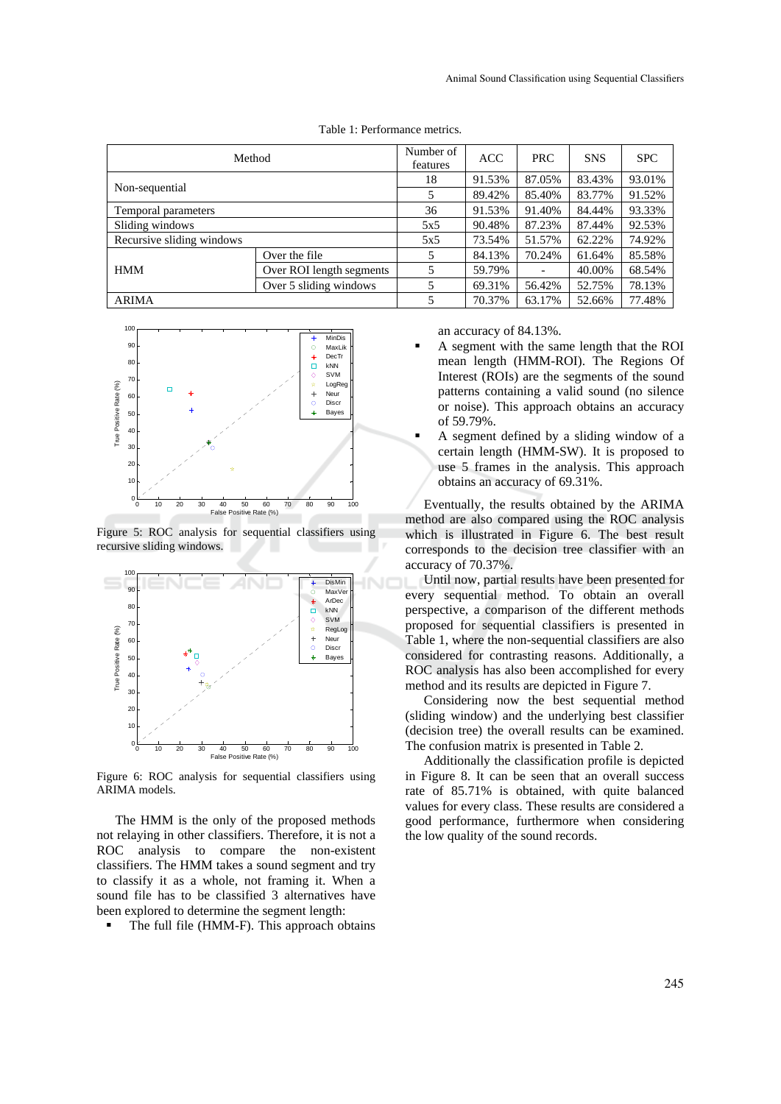| Method                    |                          | Number of<br>features | <b>ACC</b> | PRC.                     | <b>SNS</b> | <b>SPC</b> |
|---------------------------|--------------------------|-----------------------|------------|--------------------------|------------|------------|
| Non-sequential            |                          | 18                    | 91.53%     | 87.05%                   | 83.43%     | 93.01%     |
|                           |                          | 5                     | 89.42%     | 85.40%                   | 83.77%     | 91.52%     |
| Temporal parameters       |                          | 36                    | 91.53%     | 91.40%                   | 84.44%     | 93.33%     |
| Sliding windows           |                          | 5x5                   | 90.48%     | 87.23%                   | 87.44%     | 92.53%     |
| Recursive sliding windows |                          | 5x5                   | 73.54%     | 51.57%                   | 62.22%     | 74.92%     |
| <b>HMM</b>                | Over the file            | 5                     | 84.13%     | 70.24%                   | 61.64%     | 85.58%     |
|                           | Over ROI length segments | 5                     | 59.79%     | $\overline{\phantom{0}}$ | 40.00%     | 68.54%     |
|                           | Over 5 sliding windows   | 5                     | 69.31%     | 56.42%                   | 52.75%     | 78.13%     |
| <b>ARIMA</b>              |                          | 5                     | 70.37%     | 63.17%                   | 52.66%     | 77.48%     |

Table 1: Performance metrics.



Figure 5: ROC analysis for sequential classifiers using recursive sliding windows.



Figure 6: ROC analysis for sequential classifiers using ARIMA models.

The HMM is the only of the proposed methods not relaying in other classifiers. Therefore, it is not a ROC analysis to compare the non-existent classifiers. The HMM takes a sound segment and try to classify it as a whole, not framing it. When a sound file has to be classified 3 alternatives have been explored to determine the segment length:

The full file (HMM-F). This approach obtains

an accuracy of 84.13%.

- A segment with the same length that the ROI mean length (HMM-ROI). The Regions Of Interest (ROIs) are the segments of the sound patterns containing a valid sound (no silence or noise). This approach obtains an accuracy of 59.79%.
- A segment defined by a sliding window of a certain length (HMM-SW). It is proposed to use 5 frames in the analysis. This approach obtains an accuracy of 69.31%.

Eventually, the results obtained by the ARIMA method are also compared using the ROC analysis which is illustrated in Figure 6. The best result corresponds to the decision tree classifier with an accuracy of 70.37%.

Until now, partial results have been presented for every sequential method. To obtain an overall perspective, a comparison of the different methods proposed for sequential classifiers is presented in Table 1, where the non-sequential classifiers are also considered for contrasting reasons. Additionally, a ROC analysis has also been accomplished for every method and its results are depicted in Figure 7.

Considering now the best sequential method (sliding window) and the underlying best classifier (decision tree) the overall results can be examined. The confusion matrix is presented in Table 2.

Additionally the classification profile is depicted in Figure 8. It can be seen that an overall success rate of 85.71% is obtained, with quite balanced values for every class. These results are considered a good performance, furthermore when considering the low quality of the sound records.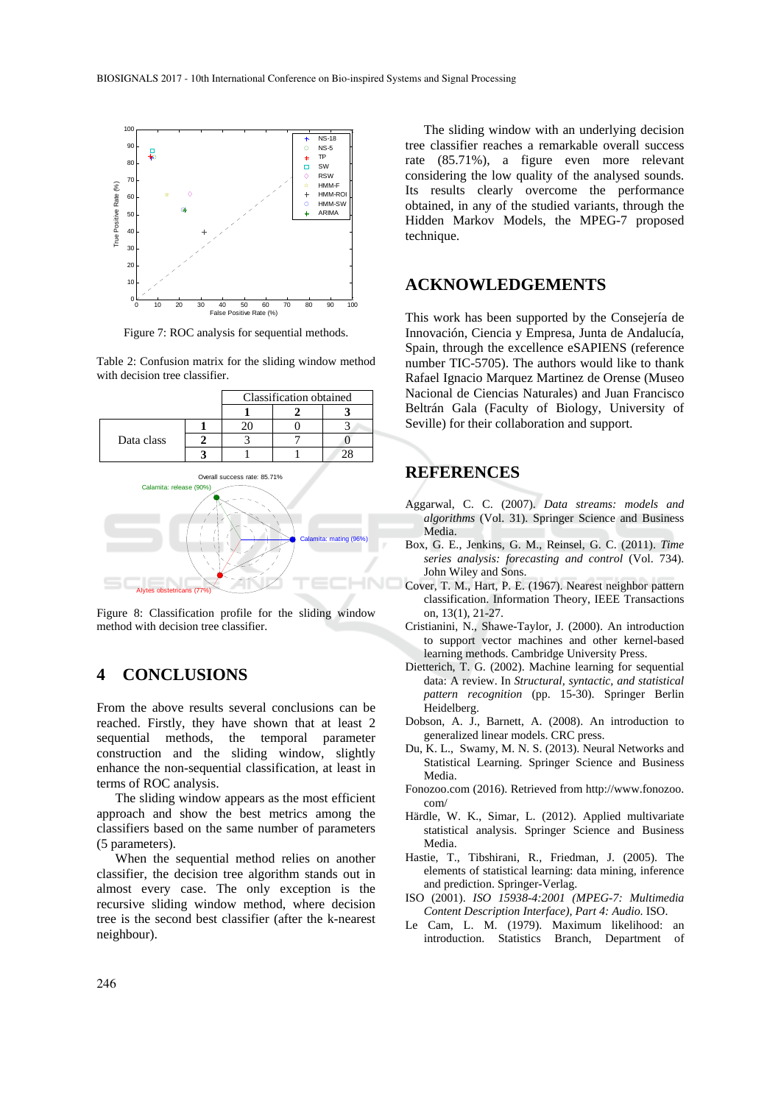

Figure 7: ROC analysis for sequential methods.

Table 2: Confusion matrix for the sliding window method with decision tree classifier.



Figure 8: Classification profile for the sliding window method with decision tree classifier.

# **4 CONCLUSIONS**

From the above results several conclusions can be reached. Firstly, they have shown that at least 2 sequential methods, the temporal parameter construction and the sliding window, slightly enhance the non-sequential classification, at least in terms of ROC analysis.

The sliding window appears as the most efficient approach and show the best metrics among the classifiers based on the same number of parameters (5 parameters).

When the sequential method relies on another classifier, the decision tree algorithm stands out in almost every case. The only exception is the recursive sliding window method, where decision tree is the second best classifier (after the k-nearest neighbour).

The sliding window with an underlying decision tree classifier reaches a remarkable overall success rate (85.71%), a figure even more relevant considering the low quality of the analysed sounds. Its results clearly overcome the performance obtained, in any of the studied variants, through the Hidden Markov Models, the MPEG-7 proposed technique.

# **ACKNOWLEDGEMENTS**

This work has been supported by the Consejería de Innovación, Ciencia y Empresa, Junta de Andalucía, Spain, through the excellence eSAPIENS (reference number TIC-5705). The authors would like to thank Rafael Ignacio Marquez Martinez de Orense (Museo Nacional de Ciencias Naturales) and Juan Francisco Beltrán Gala (Faculty of Biology, University of Seville) for their collaboration and support.

# **REFERENCES**

- Aggarwal, C. C. (2007). *Data streams: models and algorithms* (Vol. 31). Springer Science and Business Media.
- Box, G. E., Jenkins, G. M., Reinsel, G. C. (2011). *Time series analysis: forecasting and control* (Vol. 734). John Wiley and Sons.
- Cover, T. M., Hart, P. E. (1967). Nearest neighbor pattern classification. Information Theory, IEEE Transactions on, 13(1), 21-27.
- Cristianini, N., Shawe-Taylor, J. (2000). An introduction to support vector machines and other kernel-based learning methods. Cambridge University Press.
- Dietterich, T. G. (2002). Machine learning for sequential data: A review. In *Structural, syntactic, and statistical pattern recognition* (pp. 15-30). Springer Berlin Heidelberg.
- Dobson, A. J., Barnett, A. (2008). An introduction to generalized linear models. CRC press.
- Du, K. L., Swamy, M. N. S. (2013). Neural Networks and Statistical Learning. Springer Science and Business Media.
- Fonozoo.com (2016). Retrieved from http://www.fonozoo. com/
- Härdle, W. K., Simar, L. (2012). Applied multivariate statistical analysis. Springer Science and Business Media.
- Hastie, T., Tibshirani, R., Friedman, J. (2005). The elements of statistical learning: data mining, inference and prediction. Springer-Verlag.
- ISO (2001). *ISO 15938-4:2001 (MPEG-7: Multimedia Content Description Interface), Part 4: Audio*. ISO.
- Le Cam, L. M. (1979). Maximum likelihood: an introduction. Statistics Branch, Department of